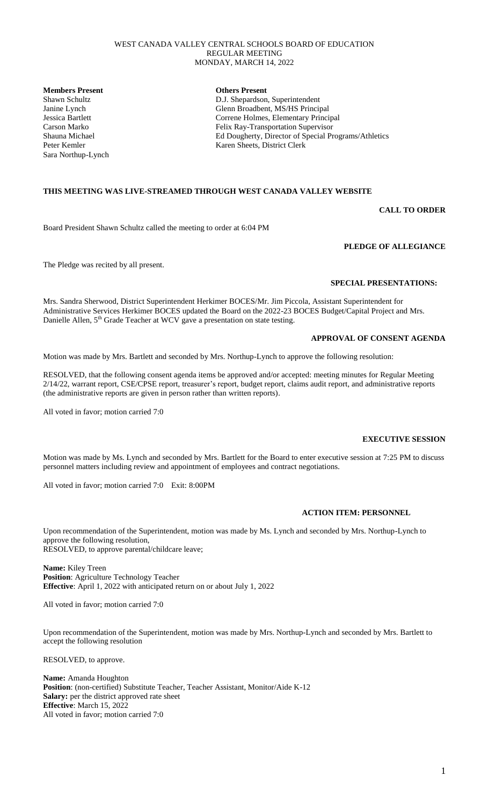## WEST CANADA VALLEY CENTRAL SCHOOLS BOARD OF EDUCATION REGULAR MEETING MONDAY, MARCH 14, 2022

**Members Present Others Present** Sara Northup-Lynch

Shawn Schultz D.J. Shepardson, Superintendent Janine Lynch Glenn Broadbent, MS/HS Principal Jessica Bartlett Correne Holmes, Elementary Principal Carson Marko Felix Ray-Transportation Supervisor Shauna Michael Ed Dougherty, Director of Special Programs/Athletics Peter Kemler Karen Sheets, District Clerk

# **THIS MEETING WAS LIVE-STREAMED THROUGH WEST CANADA VALLEY WEBSITE**

**CALL TO ORDER**

Board President Shawn Schultz called the meeting to order at 6:04 PM

**PLEDGE OF ALLEGIANCE**

The Pledge was recited by all present.

## **SPECIAL PRESENTATIONS:**

Mrs. Sandra Sherwood, District Superintendent Herkimer BOCES/Mr. Jim Piccola, Assistant Superintendent for Administrative Services Herkimer BOCES updated the Board on the 2022-23 BOCES Budget/Capital Project and Mrs. Danielle Allen, 5<sup>th</sup> Grade Teacher at WCV gave a presentation on state testing.

# **APPROVAL OF CONSENT AGENDA**

Motion was made by Mrs. Bartlett and seconded by Mrs. Northup-Lynch to approve the following resolution:

RESOLVED, that the following consent agenda items be approved and/or accepted: meeting minutes for Regular Meeting 2/14/22, warrant report, CSE/CPSE report, treasurer's report, budget report, claims audit report, and administrative reports (the administrative reports are given in person rather than written reports).

All voted in favor; motion carried 7:0

## **EXECUTIVE SESSION**

Motion was made by Ms. Lynch and seconded by Mrs. Bartlett for the Board to enter executive session at 7:25 PM to discuss personnel matters including review and appointment of employees and contract negotiations.

All voted in favor; motion carried 7:0 Exit: 8:00PM

## **ACTION ITEM: PERSONNEL**

Upon recommendation of the Superintendent, motion was made by Ms. Lynch and seconded by Mrs. Northup-Lynch to approve the following resolution, RESOLVED, to approve parental/childcare leave;

**Name:** Kiley Treen **Position**: Agriculture Technology Teacher **Effective**: April 1, 2022 with anticipated return on or about July 1, 2022

All voted in favor; motion carried 7:0

Upon recommendation of the Superintendent, motion was made by Mrs. Northup-Lynch and seconded by Mrs. Bartlett to accept the following resolution

RESOLVED, to approve.

**Name:** Amanda Houghton **Position**: (non-certified) Substitute Teacher, Teacher Assistant, Monitor/Aide K-12 **Salary:** per the district approved rate sheet **Effective**: March 15, 2022 All voted in favor; motion carried 7:0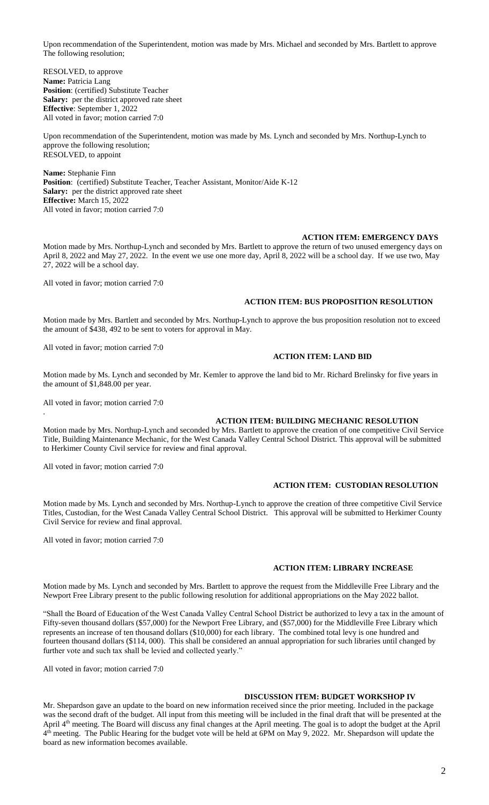Upon recommendation of the Superintendent, motion was made by Mrs. Michael and seconded by Mrs. Bartlett to approve The following resolution;

RESOLVED, to approve **Name:** Patricia Lang **Position**: (certified) Substitute Teacher **Salary:** per the district approved rate sheet **Effective**: September 1, 2022 All voted in favor; motion carried 7:0

Upon recommendation of the Superintendent, motion was made by Ms. Lynch and seconded by Mrs. Northup-Lynch to approve the following resolution; RESOLVED, to appoint

**Name:** Stephanie Finn **Position**: (certified) Substitute Teacher, Teacher Assistant, Monitor/Aide K-12 Salary: per the district approved rate sheet **Effective:** March 15, 2022 All voted in favor; motion carried 7:0

## **ACTION ITEM: EMERGENCY DAYS**

Motion made by Mrs. Northup-Lynch and seconded by Mrs. Bartlett to approve the return of two unused emergency days on April 8, 2022 and May 27, 2022. In the event we use one more day, April 8, 2022 will be a school day. If we use two, May 27, 2022 will be a school day.

All voted in favor; motion carried 7:0

## **ACTION ITEM: BUS PROPOSITION RESOLUTION**

Motion made by Mrs. Bartlett and seconded by Mrs. Northup-Lynch to approve the bus proposition resolution not to exceed the amount of \$438, 492 to be sent to voters for approval in May.

All voted in favor; motion carried 7:0

### **ACTION ITEM: LAND BID**

Motion made by Ms. Lynch and seconded by Mr. Kemler to approve the land bid to Mr. Richard Brelinsky for five years in the amount of \$1,848.00 per year.

All voted in favor; motion carried 7:0

.

## **ACTION ITEM: BUILDING MECHANIC RESOLUTION**

Motion made by Mrs. Northup-Lynch and seconded by Mrs. Bartlett to approve the creation of one competitive Civil Service Title, Building Maintenance Mechanic, for the West Canada Valley Central School District. This approval will be submitted to Herkimer County Civil service for review and final approval.

All voted in favor; motion carried 7:0

## **ACTION ITEM: CUSTODIAN RESOLUTION**

Motion made by Ms. Lynch and seconded by Mrs. Northup-Lynch to approve the creation of three competitive Civil Service Titles, Custodian, for the West Canada Valley Central School District. This approval will be submitted to Herkimer County Civil Service for review and final approval.

All voted in favor; motion carried 7:0

# **ACTION ITEM: LIBRARY INCREASE**

Motion made by Ms. Lynch and seconded by Mrs. Bartlett to approve the request from the Middleville Free Library and the Newport Free Library present to the public following resolution for additional appropriations on the May 2022 ballot.

"Shall the Board of Education of the West Canada Valley Central School District be authorized to levy a tax in the amount of Fifty-seven thousand dollars (\$57,000) for the Newport Free Library, and (\$57,000) for the Middleville Free Library which represents an increase of ten thousand dollars (\$10,000) for each library. The combined total levy is one hundred and fourteen thousand dollars (\$114, 000). This shall be considered an annual appropriation for such libraries until changed by further vote and such tax shall be levied and collected yearly."

All voted in favor; motion carried 7:0

# **DISCUSSION ITEM: BUDGET WORKSHOP IV**

Mr. Shepardson gave an update to the board on new information received since the prior meeting. Included in the package was the second draft of the budget. All input from this meeting will be included in the final draft that will be presented at the April 4<sup>th</sup> meeting. The Board will discuss any final changes at the April meeting. The goal is to adopt the budget at the April 4<sup>th</sup> meeting. The Public Hearing for the budget vote will be held at 6PM on May 9, 2022. Mr. Shepardson will update the board as new information becomes available.